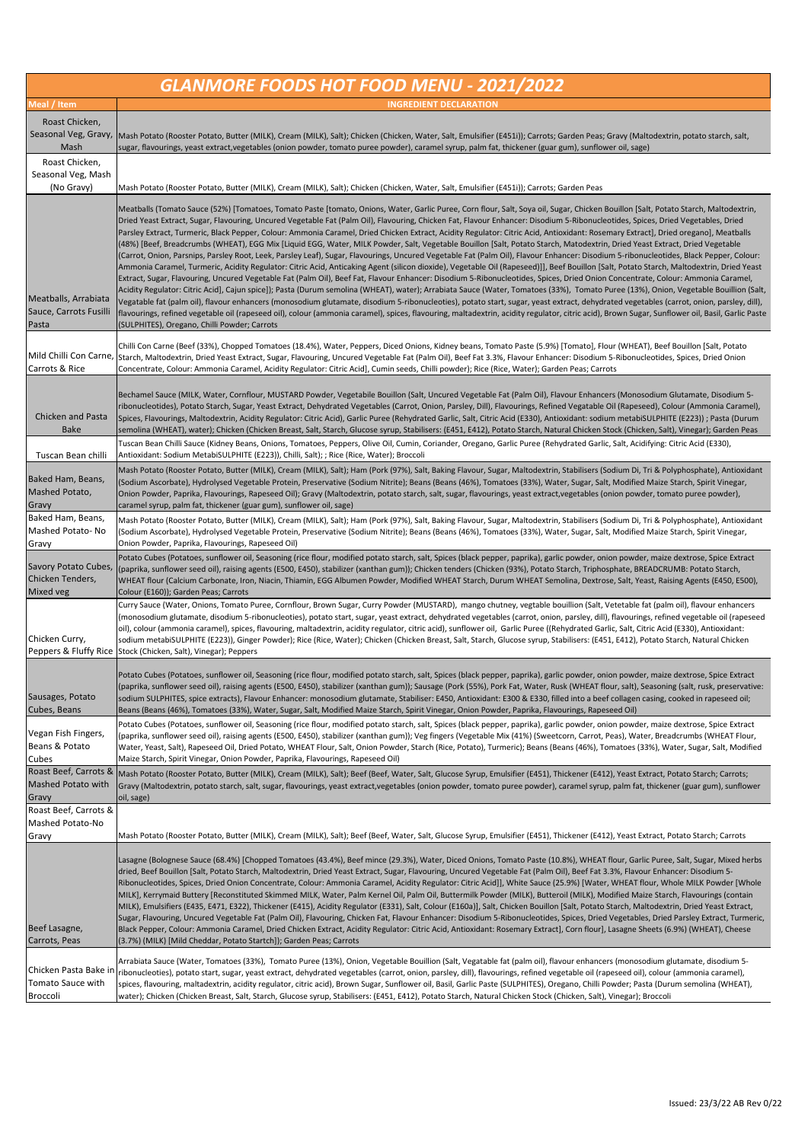| <b>GLANMORE FOODS HOT FOOD MENU - 2021/2022</b>         |                                                                                                                                                                                                                                                                                                                                                                                                                                                                                                                                                                                                                                                                                                                                                                                                                                                                                                                                                                                                                                                                                                                                                                                                                                                                                                                                                                                                                                                                                                                                                                                                                                                                                                                                                                                                                                                                                                                                                              |  |
|---------------------------------------------------------|--------------------------------------------------------------------------------------------------------------------------------------------------------------------------------------------------------------------------------------------------------------------------------------------------------------------------------------------------------------------------------------------------------------------------------------------------------------------------------------------------------------------------------------------------------------------------------------------------------------------------------------------------------------------------------------------------------------------------------------------------------------------------------------------------------------------------------------------------------------------------------------------------------------------------------------------------------------------------------------------------------------------------------------------------------------------------------------------------------------------------------------------------------------------------------------------------------------------------------------------------------------------------------------------------------------------------------------------------------------------------------------------------------------------------------------------------------------------------------------------------------------------------------------------------------------------------------------------------------------------------------------------------------------------------------------------------------------------------------------------------------------------------------------------------------------------------------------------------------------------------------------------------------------------------------------------------------------|--|
| Meal / Item                                             | <b>INGREDIENT DECLARATION</b>                                                                                                                                                                                                                                                                                                                                                                                                                                                                                                                                                                                                                                                                                                                                                                                                                                                                                                                                                                                                                                                                                                                                                                                                                                                                                                                                                                                                                                                                                                                                                                                                                                                                                                                                                                                                                                                                                                                                |  |
| Roast Chicken,                                          |                                                                                                                                                                                                                                                                                                                                                                                                                                                                                                                                                                                                                                                                                                                                                                                                                                                                                                                                                                                                                                                                                                                                                                                                                                                                                                                                                                                                                                                                                                                                                                                                                                                                                                                                                                                                                                                                                                                                                              |  |
| Seasonal Veg, Gravy,<br>Mash                            | Mash Potato (Rooster Potato, Butter (MILK), Cream (MILK), Salt); Chicken (Chicken, Water, Salt, Emulsifier (E451i)); Carrots; Garden Peas; Gravy (Maltodextrin, potato starch, salt,<br>sugar, flavourings, yeast extract,vegetables (onion powder, tomato puree powder), caramel syrup, palm fat, thickener (guar gum), sunflower oil, sage)                                                                                                                                                                                                                                                                                                                                                                                                                                                                                                                                                                                                                                                                                                                                                                                                                                                                                                                                                                                                                                                                                                                                                                                                                                                                                                                                                                                                                                                                                                                                                                                                                |  |
| Roast Chicken,<br>Seasonal Veg, Mash<br>(No Gravy)      | Mash Potato (Rooster Potato, Butter (MILK), Cream (MILK), Salt); Chicken (Chicken, Water, Salt, Emulsifier (E451i)); Carrots; Garden Peas                                                                                                                                                                                                                                                                                                                                                                                                                                                                                                                                                                                                                                                                                                                                                                                                                                                                                                                                                                                                                                                                                                                                                                                                                                                                                                                                                                                                                                                                                                                                                                                                                                                                                                                                                                                                                    |  |
| Meatballs, Arrabiata<br>Sauce, Carrots Fusilli<br>Pasta | Meatballs (Tomato Sauce (52%) [Tomatoes, Tomato Paste [tomato, Onions, Water, Garlic Puree, Corn flour, Salt, Soya oil, Sugar, Chicken Bouillon [Salt, Potato Starch, Maltodextrin,<br>Dried Yeast Extract, Sugar, Flavouring, Uncured Vegetable Fat (Palm Oil), Flavouring, Chicken Fat, Flavour Enhancer: Disodium 5-Ribonucleotides, Spices, Dried Vegetables, Dried<br>Parsley Extract, Turmeric, Black Pepper, Colour: Ammonia Caramel, Dried Chicken Extract, Acidity Regulator: Citric Acid, Antioxidant: Rosemary Extract], Dried oregano], Meatballs<br>(48%) [Beef, Breadcrumbs (WHEAT), EGG Mix [Liquid EGG, Water, MILK Powder, Salt, Vegetable Bouillon [Salt, Potato Starch, Matodextrin, Dried Yeast Extract, Dried Vegetable<br>(Carrot, Onion, Parsnips, Parsley Root, Leek, Parsley Leaf), Sugar, Flavourings, Uncured Vegetable Fat (Palm Oil), Flavour Enhancer: Disodium 5-ribonucleotides, Black Pepper, Colour:<br>Ammonia Caramel, Turmeric, Acidity Regulator: Citric Acid, Anticaking Agent (silicon dioxide), Vegetable Oil (Rapeseed)]], Beef Bouillon [Salt, Potato Starch, Maltodextrin, Dried Yeast<br>Extract, Sugar, Flavouring, Uncured Vegetable Fat (Palm Oil), Beef Fat, Flavour Enhancer: Disodium 5-Ribonucleotides, Spices, Dried Onion Concentrate, Colour: Ammonia Caramel,<br>Acidity Regulator: Citric Acid], Cajun spice]); Pasta (Durum semolina (WHEAT), water); Arrabiata Sauce (Water, Tomatoes (33%), Tomato Puree (13%), Onion, Vegetable Bouillion (Salt,<br>Vegatable fat (palm oil), flavour enhancers (monosodium glutamate, disodium 5-ribonucleoties), potato start, sugar, yeast extract, dehydrated vegetables (carrot, onion, parsley, dill),<br>flavourings, refined vegetable oil (rapeseed oil), colour (ammonia caramel), spices, flavouring, maltadextrin, acidity regulator, citric acid), Brown Sugar, Sunflower oil, Basil, Garlic Paste<br>(SULPHITES), Oregano, Chilli Powder; Carrots |  |
| Carrots & Rice                                          | Chilli Con Carne (Beef (33%), Chopped Tomatoes (18.4%), Water, Peppers, Diced Onions, Kidney beans, Tomato Paste (5.9%) [Tomato], Flour (WHEAT), Beef Bouillon [Salt, Potato<br>Mild Chilli Con Carne, Starch, Maltodextrin, Dried Yeast Extract, Sugar, Flavouring, Uncured Vegetable Fat (Palm Oil), Beef Fat 3.3%, Flavour Enhancer: Disodium 5-Ribonucleotides, Spices, Dried Onion<br>Concentrate, Colour: Ammonia Caramel, Acidity Regulator: Citric Acid], Cumin seeds, Chilli powder); Rice (Rice, Water); Garden Peas; Carrots                                                                                                                                                                                                                                                                                                                                                                                                                                                                                                                                                                                                                                                                                                                                                                                                                                                                                                                                                                                                                                                                                                                                                                                                                                                                                                                                                                                                                      |  |
| Chicken and Pasta<br><b>Bake</b>                        | Bechamel Sauce (MILK, Water, Cornflour, MUSTARD Powder, Vegetabile Bouillon (Salt, Uncured Vegetable Fat (Palm Oil), Flavour Enhancers (Monosodium Glutamate, Disodium 5-<br>ribonucleotides), Potato Starch, Sugar, Yeast Extract, Dehydrated Vegetables (Carrot, Onion, Parsley, Dill), Flavourings, Refined Vegatable Oil (Rapeseed), Colour (Ammonia Caramel),<br>Spices, Flavourings, Maltodextrin, Acidity Regulator: Citric Acid), Garlic Puree (Rehydrated Garlic, Salt, Citric Acid (E330), Antioxidant: sodium metabiSULPHITE (E223)) ; Pasta (Durum<br>semolina (WHEAT), water); Chicken (Chicken Breast, Salt, Starch, Glucose syrup, Stabilisers: (E451, E412), Potato Starch, Natural Chicken Stock (Chicken, Salt), Vinegar); Garden Peas                                                                                                                                                                                                                                                                                                                                                                                                                                                                                                                                                                                                                                                                                                                                                                                                                                                                                                                                                                                                                                                                                                                                                                                                     |  |
| Tuscan Bean chilli                                      | Tuscan Bean Chilli Sauce (Kidney Beans, Onions, Tomatoes, Peppers, Olive Oil, Cumin, Coriander, Oregano, Garlic Puree (Rehydrated Garlic, Salt, Acidifying: Citric Acid (E330),<br>Antioxidant: Sodium MetabiSULPHITE (E223)), Chilli, Salt); ; Rice (Rice, Water); Broccoli                                                                                                                                                                                                                                                                                                                                                                                                                                                                                                                                                                                                                                                                                                                                                                                                                                                                                                                                                                                                                                                                                                                                                                                                                                                                                                                                                                                                                                                                                                                                                                                                                                                                                 |  |
| Baked Ham, Beans,<br>Mashed Potato,<br>Gravy            | Mash Potato (Rooster Potato, Butter (MILK), Cream (MILK), Salt); Ham (Pork (97%), Salt, Baking Flavour, Sugar, Maltodextrin, Stabilisers (Sodium Di, Tri & Polyphosphate), Antioxidant<br>(Sodium Ascorbate), Hydrolysed Vegetable Protein, Preservative (Sodium Nitrite); Beans (Beans (46%), Tomatoes (33%), Water, Sugar, Salt, Modified Maize Starch, Spirit Vinegar,<br>Onion Powder, Paprika, Flavourings, Rapeseed Oil); Gravy (Maltodextrin, potato starch, salt, sugar, flavourings, yeast extract,vegetables (onion powder, tomato puree powder),<br>caramel syrup, palm fat, thickener (guar gum), sunflower oil, sage)                                                                                                                                                                                                                                                                                                                                                                                                                                                                                                                                                                                                                                                                                                                                                                                                                                                                                                                                                                                                                                                                                                                                                                                                                                                                                                                           |  |
| Baked Ham, Beans,<br>Mashed Potato-No<br>Gravy          | Mash Potato (Rooster Potato, Butter (MILK), Cream (MILK), Salt); Ham (Pork (97%), Salt, Baking Flavour, Sugar, Maltodextrin, Stabilisers (Sodium Di, Tri & Polyphosphate), Antioxidant<br>(Sodium Ascorbate), Hydrolysed Vegetable Protein, Preservative (Sodium Nitrite); Beans (Beans (46%), Tomatoes (33%), Water, Sugar, Salt, Modified Maize Starch, Spirit Vinegar,<br>Onion Powder, Paprika, Flavourings, Rapeseed Oil)                                                                                                                                                                                                                                                                                                                                                                                                                                                                                                                                                                                                                                                                                                                                                                                                                                                                                                                                                                                                                                                                                                                                                                                                                                                                                                                                                                                                                                                                                                                               |  |
| Savory Potato Cubes,<br>Chicken Tenders,<br>Mixed veg   | Potato Cubes (Potatoes, sunflower oil, Seasoning (rice flour, modified potato starch, salt, Spices (black pepper, paprika), garlic powder, onion powder, maize dextrose, Spice Extract<br>(paprika, sunflower seed oil), raising agents (E500, E450), stabilizer (xanthan gum)); Chicken tenders (Chicken (93%), Potato Starch, Triphosphate, BREADCRUMB: Potato Starch,<br>WHEAT flour (Calcium Carbonate, Iron, Niacin, Thiamin, EGG Albumen Powder, Modified WHEAT Starch, Durum WHEAT Semolina, Dextrose, Salt, Yeast, Raising Agents (E450, E500),<br>Colour (E160)); Garden Peas; Carrots                                                                                                                                                                                                                                                                                                                                                                                                                                                                                                                                                                                                                                                                                                                                                                                                                                                                                                                                                                                                                                                                                                                                                                                                                                                                                                                                                              |  |
| Chicken Curry,                                          | Curry Sauce (Water, Onions, Tomato Puree, Cornflour, Brown Sugar, Curry Powder (MUSTARD), mango chutney, vegtable bouillion (Salt, Vetetable fat (palm oil), flavour enhancers<br>(monosodium glutamate, disodium 5-ribonucleoties), potato start, sugar, yeast extract, dehydrated vegetables (carrot, onion, parsley, dill), flavourings, refined vegetable oil (rapeseed<br>oil), colour (ammonia caramel), spices, flavouring, maltadextrin, acidity regulator, citric acid), sunflower oil, Garlic Puree ((Rehydrated Garlic, Salt, Citric Acid (E330), Antioxidant:<br>sodium metabiSULPHITE (E223)), Ginger Powder); Rice (Rice, Water); Chicken (Chicken Breast, Salt, Starch, Glucose syrup, Stabilisers: (E451, E412), Potato Starch, Natural Chicken<br>Peppers & Fluffy Rice Stock (Chicken, Salt), Vinegar); Peppers                                                                                                                                                                                                                                                                                                                                                                                                                                                                                                                                                                                                                                                                                                                                                                                                                                                                                                                                                                                                                                                                                                                            |  |
| Sausages, Potato<br>Cubes, Beans                        | Potato Cubes (Potatoes, sunflower oil, Seasoning (rice flour, modified potato starch, salt, Spices (black pepper, paprika), garlic powder, onion powder, maize dextrose, Spice Extract<br>(paprika, sunflower seed oil), raising agents (E500, E450), stabilizer (xanthan gum)); Sausage (Pork (55%), Pork Fat, Water, Rusk (WHEAT flour, salt), Seasoning (salt, rusk, preservative:<br>sodium SULPHITES, spice extracts), Flavour Enhancer: monosodium glutamate, Stabiliser: E450, Antioxidant: E300 & E330, filled into a beef collagen casing, cooked in rapeseed oil;<br>Beans (Beans (46%), Tomatoes (33%), Water, Sugar, Salt, Modified Maize Starch, Spirit Vinegar, Onion Powder, Paprika, Flavourings, Rapeseed Oil)                                                                                                                                                                                                                                                                                                                                                                                                                                                                                                                                                                                                                                                                                                                                                                                                                                                                                                                                                                                                                                                                                                                                                                                                                              |  |
| Vegan Fish Fingers,<br>Beans & Potato<br>Cubes          | Potato Cubes (Potatoes, sunflower oil, Seasoning (rice flour, modified potato starch, salt, Spices (black pepper, paprika), garlic powder, onion powder, maize dextrose, Spice Extract<br>(paprika, sunflower seed oil), raising agents (E500, E450), stabilizer (xanthan gum)); Veg fingers (Vegetable Mix (41%) (Sweetcorn, Carrot, Peas), Water, Breadcrumbs (WHEAT Flour,<br>Water, Yeast, Salt), Rapeseed Oil, Dried Potato, WHEAT Flour, Salt, Onion Powder, Starch (Rice, Potato), Turmeric); Beans (Beans (46%), Tomatoes (33%), Water, Sugar, Salt, Modified<br>Maize Starch, Spirit Vinegar, Onion Powder, Paprika, Flavourings, Rapeseed Oil)                                                                                                                                                                                                                                                                                                                                                                                                                                                                                                                                                                                                                                                                                                                                                                                                                                                                                                                                                                                                                                                                                                                                                                                                                                                                                                     |  |
| Roast Beef, Carrots &<br>Mashed Potato with<br>Gravy    | Mash Potato (Rooster Potato, Butter (MILK), Cream (MILK), Salt); Beef (Beef, Water, Salt, Glucose Syrup, Emulsifier (E451), Thickener (E412), Yeast Extract, Potato Starch; Carrots;<br>Gravy (Maltodextrin, potato starch, salt, sugar, flavourings, yeast extract, vegetables (onion powder, tomato puree powder), caramel syrup, palm fat, thickener (guar gum), sunflower<br>oil, sage)                                                                                                                                                                                                                                                                                                                                                                                                                                                                                                                                                                                                                                                                                                                                                                                                                                                                                                                                                                                                                                                                                                                                                                                                                                                                                                                                                                                                                                                                                                                                                                  |  |
| Roast Beef, Carrots &<br>Mashed Potato-No               |                                                                                                                                                                                                                                                                                                                                                                                                                                                                                                                                                                                                                                                                                                                                                                                                                                                                                                                                                                                                                                                                                                                                                                                                                                                                                                                                                                                                                                                                                                                                                                                                                                                                                                                                                                                                                                                                                                                                                              |  |
| Gravy                                                   | Mash Potato (Rooster Potato, Butter (MILK), Cream (MILK), Salt); Beef (Beef, Water, Salt, Glucose Syrup, Emulsifier (E451), Thickener (E412), Yeast Extract, Potato Starch; Carrots                                                                                                                                                                                                                                                                                                                                                                                                                                                                                                                                                                                                                                                                                                                                                                                                                                                                                                                                                                                                                                                                                                                                                                                                                                                                                                                                                                                                                                                                                                                                                                                                                                                                                                                                                                          |  |
| Beef Lasagne,<br>Carrots, Peas                          | Lasagne (Bolognese Sauce (68.4%) [Chopped Tomatoes (43.4%), Beef mince (29.3%), Water, Diced Onions, Tomato Paste (10.8%), WHEAT flour, Garlic Puree, Salt, Sugar, Mixed herbs<br>dried, Beef Bouillon [Salt, Potato Starch, Maltodextrin, Dried Yeast Extract, Sugar, Flavouring, Uncured Vegetable Fat (Palm Oil), Beef Fat 3.3%, Flavour Enhancer: Disodium 5-<br>Ribonucleotides, Spices, Dried Onion Concentrate, Colour: Ammonia Caramel, Acidity Regulator: Citric Acid]], White Sauce (25.9%) [Water, WHEAT flour, Whole MILK Powder [Whole<br>MILK], Kerrymaid Buttery [Reconstituted Skimmed MILK, Water, Palm Kernel Oil, Palm Oil, Buttermilk Powder (MILK), Butteroil (MILK), Modified Maize Starch, Flavourings (contain<br>MILK), Emulsifiers (E435, E471, E322), Thickener (E415), Acidity Regulator (E331), Salt, Colour (E160a)], Salt, Chicken Bouillon [Salt, Potato Starch, Maltodextrin, Dried Yeast Extract,<br>Sugar, Flavouring, Uncured Vegetable Fat (Palm Oil), Flavouring, Chicken Fat, Flavour Enhancer: Disodium 5-Ribonucleotides, Spices, Dried Vegetables, Dried Parsley Extract, Turmeric,<br>Black Pepper, Colour: Ammonia Caramel, Dried Chicken Extract, Acidity Regulator: Citric Acid, Antioxidant: Rosemary Extract], Corn flour], Lasagne Sheets (6.9%) (WHEAT), Cheese<br>(3.7%) (MILK) [Mild Cheddar, Potato Startch]); Garden Peas; Carrots                                                                                                                                                                                                                                                                                                                                                                                                                                                                                                                                                                     |  |
| Tomato Sauce with<br>Broccoli                           | Arrabiata Sauce (Water, Tomatoes (33%), Tomato Puree (13%), Onion, Vegetable Bouillion (Salt, Vegatable fat (palm oil), flavour enhancers (monosodium glutamate, disodium 5-<br>Chicken Pasta Bake in ribonucleoties), potato start, sugar, yeast extract, dehydrated vegetables (carrot, onion, parsley, dill), flavourings, refined vegetable oil (rapeseed oil), colour (ammonia caramel),<br>spices, flavouring, maltadextrin, acidity regulator, citric acid), Brown Sugar, Sunflower oil, Basil, Garlic Paste (SULPHITES), Oregano, Chilli Powder; Pasta (Durum semolina (WHEAT),<br>water); Chicken (Chicken Breast, Salt, Starch, Glucose syrup, Stabilisers: (E451, E412), Potato Starch, Natural Chicken Stock (Chicken, Salt), Vinegar); Broccoli                                                                                                                                                                                                                                                                                                                                                                                                                                                                                                                                                                                                                                                                                                                                                                                                                                                                                                                                                                                                                                                                                                                                                                                                 |  |